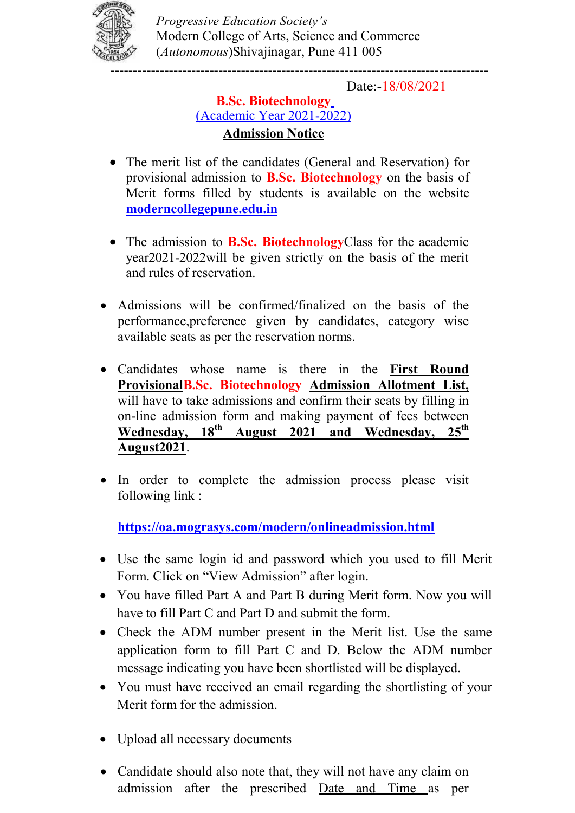

Progressive Education Society's Modern College of Arts, Science and Commerce (Autonomous)Shivajinagar, Pune 411 005

Date:-18/08/2021

## B.Sc. Biotechnology (Academic Year 2021-2022) Admission Notice

- The merit list of the candidates (General and Reservation) for provisional admission to B.Sc. Biotechnology on the basis of Merit forms filled by students is available on the website moderncollegepune.edu.in
- The admission to **B.Sc. Biotechnology**Class for the academic year2021-2022will be given strictly on the basis of the merit and rules of reservation.
- Admissions will be confirmed/finalized on the basis of the performance,preference given by candidates, category wise available seats as per the reservation norms.
- Candidates whose name is there in the First Round ProvisionalB.Sc. Biotechnology Admission Allotment List, will have to take admissions and confirm their seats by filling in on-line admission form and making payment of fees between Wednesday, 18<sup>th</sup> August 2021 and Wednesday, 25<sup>th</sup> August2021.
- In order to complete the admission process please visit following link :

https://oa.mograsys.com/modern/onlineadmission.html

- Use the same login id and password which you used to fill Merit Form. Click on "View Admission" after login.
- You have filled Part A and Part B during Merit form. Now you will have to fill Part C and Part D and submit the form.
- Check the ADM number present in the Merit list. Use the same application form to fill Part C and D. Below the ADM number message indicating you have been shortlisted will be displayed.
- You must have received an email regarding the shortlisting of your Merit form for the admission.
- Upload all necessary documents
- Candidate should also note that, they will not have any claim on admission after the prescribed Date and Time as per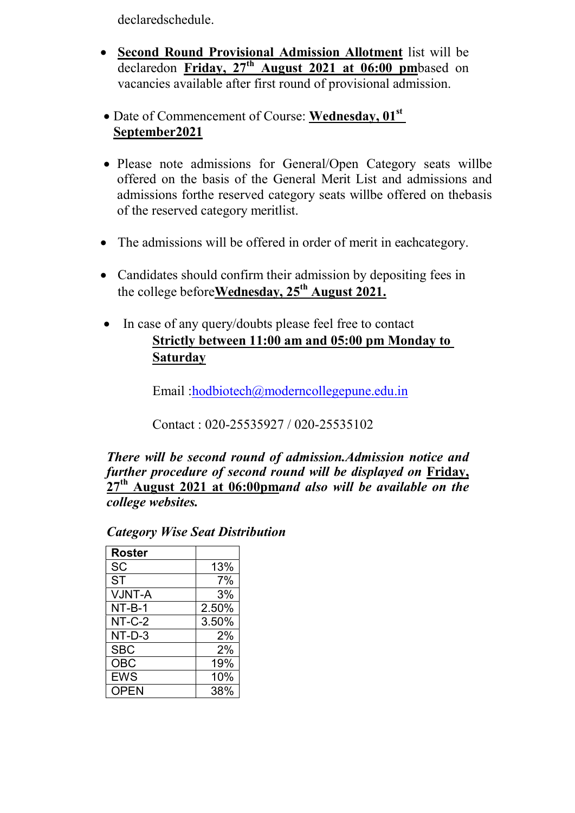declaredschedule.

- Second Round Provisional Admission Allotment list will be declaredon Friday,  $27<sup>th</sup>$  August 2021 at 06:00 pmbased on vacancies available after first round of provisional admission.
- $\bullet$  Date of Commencement of Course: Wednesday, 01<sup>st</sup> September2021
- Please note admissions for General/Open Category seats willbe offered on the basis of the General Merit List and admissions and admissions forthe reserved category seats willbe offered on thebasis of the reserved category meritlist.
- The admissions will be offered in order of merit in eachcategory.
- Candidates should confirm their admission by depositing fees in the college before Wednesday,  $25<sup>th</sup>$  August 2021.
- In case of any query/doubts please feel free to contact Strictly between 11:00 am and 05:00 pm Monday to **Saturday**

Email :hodbiotech@moderncollegepune.edu.in

Contact : 020-25535927 / 020-25535102

There will be second round of admission.Admission notice and further procedure of second round will be displayed on Friday,  $27<sup>th</sup>$  August 2021 at 06:00pmand also will be available on the college websites.

## Category Wise Seat Distribution

| <b>Roster</b> |       |
|---------------|-------|
| <b>SC</b>     | 13%   |
| <b>ST</b>     | 7%    |
| <b>VJNT-A</b> | 3%    |
| NT-B-1        | 2.50% |
| $NT-C-2$      | 3.50% |
| NT-D-3        | 2%    |
| <b>SBC</b>    | 2%    |
| <b>OBC</b>    | 19%   |
| <b>EWS</b>    | 10%   |
| <b>OPEN</b>   | 38%   |